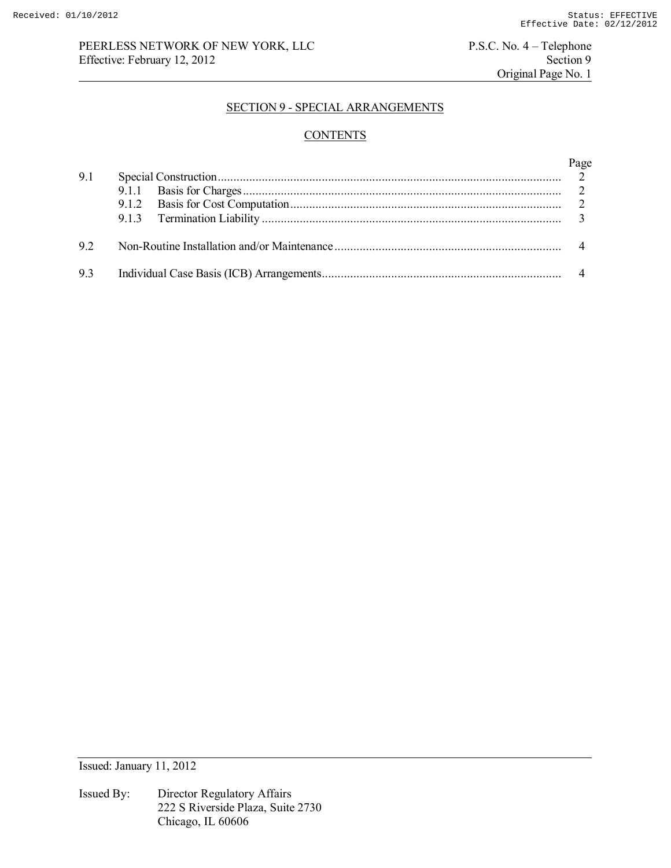## PEERLESS NETWORK OF NEW YORK, LLC<br>
Effective: February 12, 2012<br>
Section 9 Effective: February 12, 2012

Original Page No. 1

## SECTION 9 - SPECIAL ARRANGEMENTS

# **CONTENTS**

| 9.1 | Page |
|-----|------|
|     |      |
| 92  |      |
| 9.3 |      |

Issued: January 11, 2012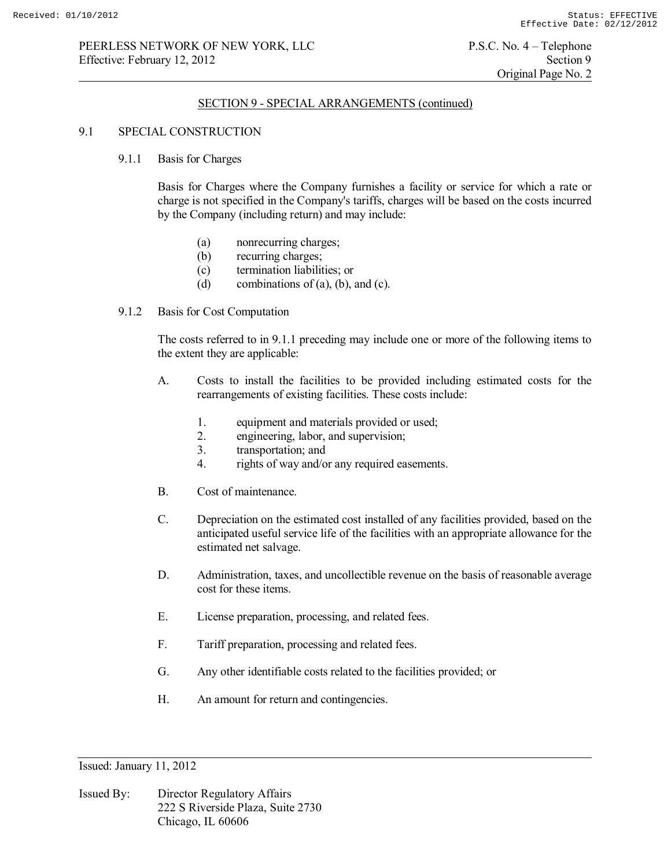## PEERLESS NETWORK OF NEW YORK, LLC P.S.C. No. 4 – Telephone Effective: February 12, 2012 Section 9

## SECTION 9 - SPECIAL ARRANGEMENTS (continued)

### 9.1 SPECIAL CONSTRUCTION

#### 9.1.1 Basis for Charges

 Basis for Charges where the Company furnishes a facility or service for which a rate or charge is not specified in the Company's tariffs, charges will be based on the costs incurred by the Company (including return) and may include:

- (a) nonrecurring charges;
- (b) recurring charges;
- (c) termination liabilities; or
- (d) combinations of (a), (b), and (c).
- 9.1.2 Basis for Cost Computation

 The costs referred to in 9.1.1 preceding may include one or more of the following items to the extent they are applicable:

- A. Costs to install the facilities to be provided including estimated costs for the rearrangements of existing facilities. These costs include:
	- 1. equipment and materials provided or used;
	- 2. engineering, labor, and supervision;
	- 3. transportation; and<br>4. rights of way and/or
	- rights of way and/or any required easements.
- B. Cost of maintenance.
- C. Depreciation on the estimated cost installed of any facilities provided, based on the anticipated useful service life of the facilities with an appropriate allowance for the estimated net salvage.
- D. Administration, taxes, and uncollectible revenue on the basis of reasonable average cost for these items.
- E. License preparation, processing, and related fees.
- F. Tariff preparation, processing and related fees.
- G. Any other identifiable costs related to the facilities provided; or
- H. An amount for return and contingencies.

Issued: January 11, 2012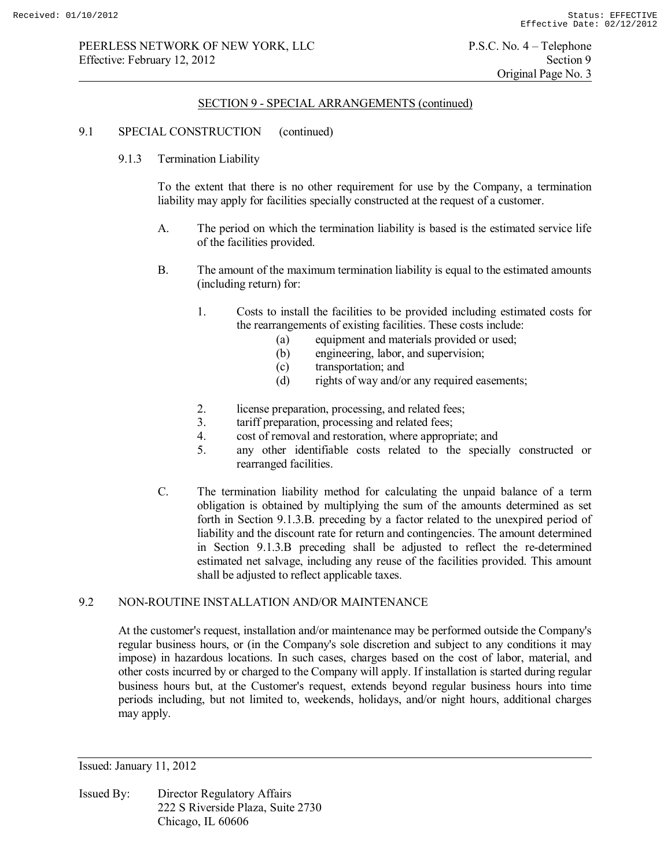#### SECTION 9 - SPECIAL ARRANGEMENTS (continued)

### 9.1 SPECIAL CONSTRUCTION (continued)

9.1.3 Termination Liability

 To the extent that there is no other requirement for use by the Company, a termination liability may apply for facilities specially constructed at the request of a customer.

- A. The period on which the termination liability is based is the estimated service life of the facilities provided.
- B. The amount of the maximum termination liability is equal to the estimated amounts (including return) for:
	- 1. Costs to install the facilities to be provided including estimated costs for the rearrangements of existing facilities. These costs include:
		- (a) equipment and materials provided or used;
		- (b) engineering, labor, and supervision;
		- (c) transportation; and
		- (d) rights of way and/or any required easements;
	- 2. license preparation, processing, and related fees;
	- 3. tariff preparation, processing and related fees;
	- 4. cost of removal and restoration, where appropriate; and
	- 5. any other identifiable costs related to the specially constructed or rearranged facilities.
- C. The termination liability method for calculating the unpaid balance of a term obligation is obtained by multiplying the sum of the amounts determined as set forth in Section 9.1.3.B. preceding by a factor related to the unexpired period of liability and the discount rate for return and contingencies. The amount determined in Section 9.1.3.B preceding shall be adjusted to reflect the re-determined estimated net salvage, including any reuse of the facilities provided. This amount shall be adjusted to reflect applicable taxes.

## 9.2 NON-ROUTINE INSTALLATION AND/OR MAINTENANCE

 At the customer's request, installation and/or maintenance may be performed outside the Company's regular business hours, or (in the Company's sole discretion and subject to any conditions it may impose) in hazardous locations. In such cases, charges based on the cost of labor, material, and other costs incurred by or charged to the Company will apply. If installation is started during regular business hours but, at the Customer's request, extends beyond regular business hours into time periods including, but not limited to, weekends, holidays, and/or night hours, additional charges may apply.

Issued: January 11, 2012